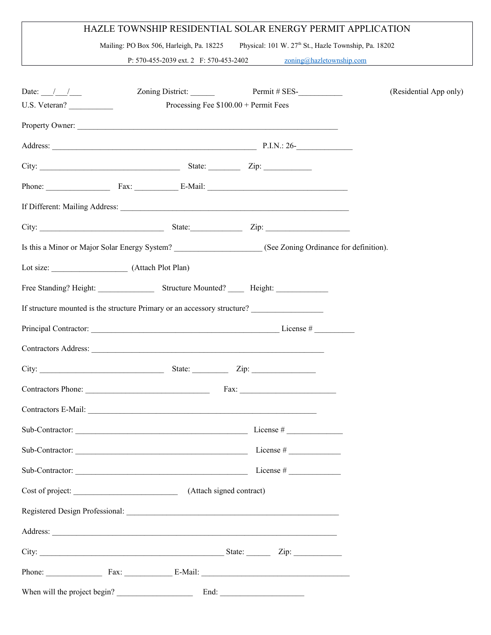## HAZLE TOWNSHIP RESIDENTIAL SOLAR ENERGY PERMIT APPLICATION

Mailing: PO Box 506, Harleigh, Pa. 18225 Physical: 101 W. 27<sup>th</sup> St., Hazle Township, Pa. 18202

P: 570-455-2039 ext. 2 F: 570-453-2402 [zoning@hazletownship.com](mailto:zoning@hazletownship.com)

| Date: $/$ $/$   |                                        | Zoning District: Permit # SES-                                                                                                                                                                                                | (Residential App only) |
|-----------------|----------------------------------------|-------------------------------------------------------------------------------------------------------------------------------------------------------------------------------------------------------------------------------|------------------------|
| U.S. Veteran?   | Processing Fee $$100.00 +$ Permit Fees |                                                                                                                                                                                                                               |                        |
|                 |                                        |                                                                                                                                                                                                                               |                        |
|                 |                                        | Address: P.I.N.: 26-                                                                                                                                                                                                          |                        |
|                 |                                        |                                                                                                                                                                                                                               |                        |
|                 |                                        | Phone: Fax: E-Mail: E-Mail:                                                                                                                                                                                                   |                        |
|                 |                                        |                                                                                                                                                                                                                               |                        |
|                 |                                        | City: City: City: City: City: City: City: City: City: City: City: City: City: City: City: City: City: City: City: City: City: City: City: City: City: City: City: City: City: City: City: City: City: City: City: City: City: |                        |
|                 |                                        | Is this a Minor or Major Solar Energy System? ________________________(See Zoning Ordinance for definition).                                                                                                                  |                        |
|                 |                                        |                                                                                                                                                                                                                               |                        |
|                 |                                        |                                                                                                                                                                                                                               |                        |
|                 |                                        | If structure mounted is the structure Primary or an accessory structure?                                                                                                                                                      |                        |
|                 |                                        |                                                                                                                                                                                                                               |                        |
|                 |                                        |                                                                                                                                                                                                                               |                        |
|                 |                                        | City: $\frac{\text{City:}}{\text{List:}}$                                                                                                                                                                                     |                        |
|                 |                                        |                                                                                                                                                                                                                               |                        |
|                 |                                        |                                                                                                                                                                                                                               |                        |
|                 |                                        |                                                                                                                                                                                                                               |                        |
| Sub-Contractor: |                                        |                                                                                                                                                                                                                               |                        |
|                 |                                        |                                                                                                                                                                                                                               |                        |
|                 |                                        |                                                                                                                                                                                                                               |                        |
|                 |                                        |                                                                                                                                                                                                                               |                        |
|                 |                                        |                                                                                                                                                                                                                               |                        |
|                 |                                        |                                                                                                                                                                                                                               |                        |
|                 |                                        | Phone: Fax: Fax: E-Mail: E-Mail:                                                                                                                                                                                              |                        |
|                 |                                        | When will the project begin? End: End:                                                                                                                                                                                        |                        |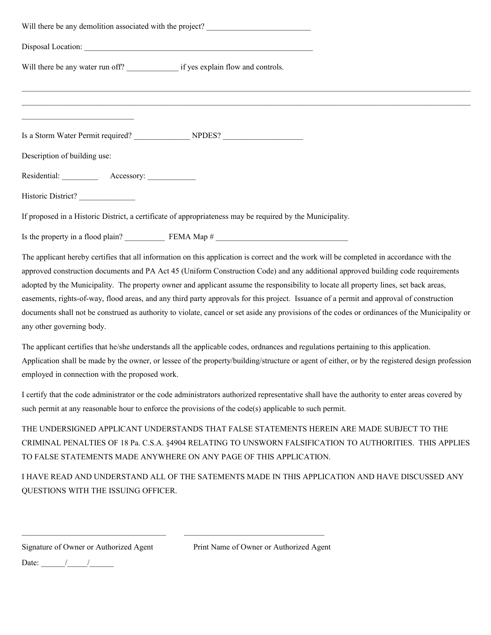| Will there be any demolition associated with the project?                                                                                                                                                                                                                                                                                                                                                                                                                                                                                                                                                                                                                                                                                        |
|--------------------------------------------------------------------------------------------------------------------------------------------------------------------------------------------------------------------------------------------------------------------------------------------------------------------------------------------------------------------------------------------------------------------------------------------------------------------------------------------------------------------------------------------------------------------------------------------------------------------------------------------------------------------------------------------------------------------------------------------------|
|                                                                                                                                                                                                                                                                                                                                                                                                                                                                                                                                                                                                                                                                                                                                                  |
|                                                                                                                                                                                                                                                                                                                                                                                                                                                                                                                                                                                                                                                                                                                                                  |
|                                                                                                                                                                                                                                                                                                                                                                                                                                                                                                                                                                                                                                                                                                                                                  |
| the control of the control of the control of the control of the control of                                                                                                                                                                                                                                                                                                                                                                                                                                                                                                                                                                                                                                                                       |
| Description of building use:                                                                                                                                                                                                                                                                                                                                                                                                                                                                                                                                                                                                                                                                                                                     |
| Residential: Accessory:                                                                                                                                                                                                                                                                                                                                                                                                                                                                                                                                                                                                                                                                                                                          |
| Historic District?                                                                                                                                                                                                                                                                                                                                                                                                                                                                                                                                                                                                                                                                                                                               |
| If proposed in a Historic District, a certificate of appropriateness may be required by the Municipality.                                                                                                                                                                                                                                                                                                                                                                                                                                                                                                                                                                                                                                        |
|                                                                                                                                                                                                                                                                                                                                                                                                                                                                                                                                                                                                                                                                                                                                                  |
| The applicant hereby certifies that all information on this application is correct and the work will be completed in accordance with the<br>approved construction documents and PA Act 45 (Uniform Construction Code) and any additional approved building code requirements<br>adopted by the Municipality. The property owner and applicant assume the responsibility to locate all property lines, set back areas,<br>easements, rights-of-way, flood areas, and any third party approvals for this project. Issuance of a permit and approval of construction<br>documents shall not be construed as authority to violate, cancel or set aside any provisions of the codes or ordinances of the Municipality or<br>any other governing body. |
| The applicant certifies that he/she understands all the applicable codes, ordnances and regulations pertaining to this application.<br>Application shall be made by the owner, or lessee of the property/building/structure or agent of either, or by the registered design profession<br>employed in connection with the proposed work.                                                                                                                                                                                                                                                                                                                                                                                                         |
| I certify that the code administrator or the code administrators authorized representative shall have the authority to enter areas covered by<br>such permit at any reasonable hour to enforce the provisions of the code(s) applicable to such permit.                                                                                                                                                                                                                                                                                                                                                                                                                                                                                          |
| THE UNDERSIGNED APPLICANT UNDERSTANDS THAT FALSE STATEMENTS HEREIN ARE MADE SUBJECT TO THE<br>CRIMINAL PENALTIES OF 18 Pa. C.S.A. §4904 RELATING TO UNSWORN FALSIFICATION TO AUTHORITIES. THIS APPLIES<br>TO FALSE STATEMENTS MADE ANYWHERE ON ANY PAGE OF THIS APPLICATION.                                                                                                                                                                                                                                                                                                                                                                                                                                                                     |
| I HAVE READ AND UNDERSTAND ALL OF THE SATEMENTS MADE IN THIS APPLICATION AND HAVE DISCUSSED ANY<br>QUESTIONS WITH THE ISSUING OFFICER.                                                                                                                                                                                                                                                                                                                                                                                                                                                                                                                                                                                                           |

 $\mathcal{L}_\text{max} = \mathcal{L}_\text{max} = \mathcal{L}_\text{max} = \mathcal{L}_\text{max} = \mathcal{L}_\text{max} = \mathcal{L}_\text{max} = \mathcal{L}_\text{max} = \mathcal{L}_\text{max} = \mathcal{L}_\text{max} = \mathcal{L}_\text{max} = \mathcal{L}_\text{max} = \mathcal{L}_\text{max} = \mathcal{L}_\text{max} = \mathcal{L}_\text{max} = \mathcal{L}_\text{max} = \mathcal{L}_\text{max} = \mathcal{L}_\text{max} = \mathcal{L}_\text{max} = \mathcal{$ 

Signature of Owner or Authorized Agent Print Name of Owner or Authorized Agent

Date:  $\frac{1}{\sqrt{2\pi}}$